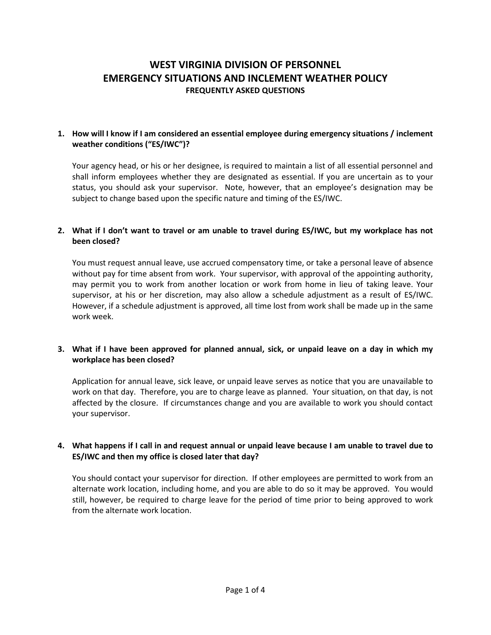# **WEST VIRGINIA DIVISION OF PERSONNEL EMERGENCY SITUATIONS AND INCLEMENT WEATHER POLICY FREQUENTLY ASKED QUESTIONS**

#### **1. How will I know if I am considered an essential employee during emergency situations / inclement weather conditions ("ES/IWC")?**

Your agency head, or his or her designee, is required to maintain a list of all essential personnel and shall inform employees whether they are designated as essential. If you are uncertain as to your status, you should ask your supervisor. Note, however, that an employee's designation may be subject to change based upon the specific nature and timing of the ES/IWC.

# **2. What if I don't want to travel or am unable to travel during ES/IWC, but my workplace has not been closed?**

You must request annual leave, use accrued compensatory time, or take a personal leave of absence without pay for time absent from work. Your supervisor, with approval of the appointing authority, may permit you to work from another location or work from home in lieu of taking leave. Your supervisor, at his or her discretion, may also allow a schedule adjustment as a result of ES/IWC. However, if a schedule adjustment is approved, all time lost from work shall be made up in the same work week.

# **3. What if I have been approved for planned annual, sick, or unpaid leave on a day in which my workplace has been closed?**

Application for annual leave, sick leave, or unpaid leave serves as notice that you are unavailable to work on that day. Therefore, you are to charge leave as planned. Your situation, on that day, is not affected by the closure. If circumstances change and you are available to work you should contact your supervisor.

# **4. What happens if I call in and request annual or unpaid leave because I am unable to travel due to ES/IWC and then my office is closed later that day?**

You should contact your supervisor for direction. If other employees are permitted to work from an alternate work location, including home, and you are able to do so it may be approved. You would still, however, be required to charge leave for the period of time prior to being approved to work from the alternate work location.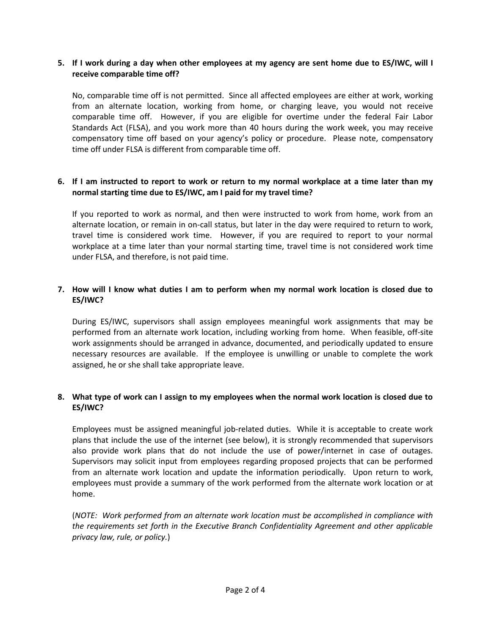#### **5. If I work during a day when other employees at my agency are sent home due to ES/IWC, will I receive comparable time off?**

No, comparable time off is not permitted. Since all affected employees are either at work, working from an alternate location, working from home, or charging leave, you would not receive comparable time off. However, if you are eligible for overtime under the federal Fair Labor Standards Act (FLSA), and you work more than 40 hours during the work week, you may receive compensatory time off based on your agency's policy or procedure. Please note, compensatory time off under FLSA is different from comparable time off.

#### **6. If I am instructed to report to work or return to my normal workplace at a time later than my normal starting time due to ES/IWC, am I paid for my travel time?**

If you reported to work as normal, and then were instructed to work from home, work from an alternate location, or remain in on-call status, but later in the day were required to return to work, travel time is considered work time. However, if you are required to report to your normal workplace at a time later than your normal starting time, travel time is not considered work time under FLSA, and therefore, is not paid time.

## **7. How will I know what duties I am to perform when my normal work location is closed due to ES/IWC?**

During ES/IWC, supervisors shall assign employees meaningful work assignments that may be performed from an alternate work location, including working from home. When feasible, off-site work assignments should be arranged in advance, documented, and periodically updated to ensure necessary resources are available. If the employee is unwilling or unable to complete the work assigned, he or she shall take appropriate leave.

#### **8. What type of work can I assign to my employees when the normal work location is closed due to ES/IWC?**

Employees must be assigned meaningful job-related duties. While it is acceptable to create work plans that include the use of the internet (see below), it is strongly recommended that supervisors also provide work plans that do not include the use of power/internet in case of outages. Supervisors may solicit input from employees regarding proposed projects that can be performed from an alternate work location and update the information periodically. Upon return to work, employees must provide a summary of the work performed from the alternate work location or at home.

(*NOTE: Work performed from an alternate work location must be accomplished in compliance with the requirements set forth in the Executive Branch Confidentiality Agreement and other applicable privacy law, rule, or policy.*)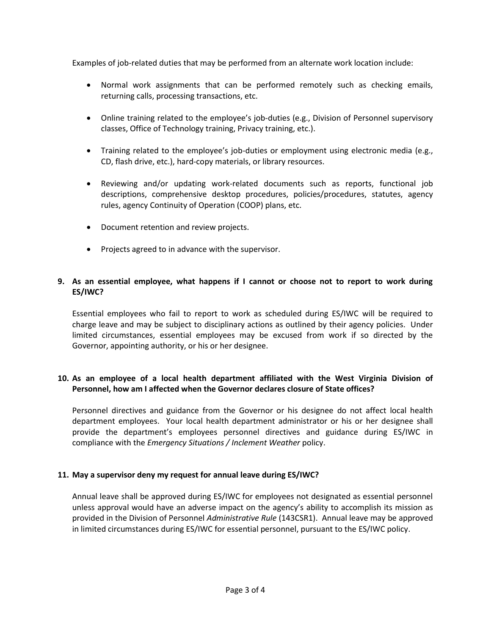Examples of job-related duties that may be performed from an alternate work location include:

- Normal work assignments that can be performed remotely such as checking emails, returning calls, processing transactions, etc.
- Online training related to the employee's job-duties (e.g., Division of Personnel supervisory classes, Office of Technology training, Privacy training, etc.).
- Training related to the employee's job-duties or employment using electronic media (e.g., CD, flash drive, etc.), hard-copy materials, or library resources.
- Reviewing and/or updating work-related documents such as reports, functional job descriptions, comprehensive desktop procedures, policies/procedures, statutes, agency rules, agency Continuity of Operation (COOP) plans, etc.
- Document retention and review projects.
- Projects agreed to in advance with the supervisor.

## **9. As an essential employee, what happens if I cannot or choose not to report to work during ES/IWC?**

Essential employees who fail to report to work as scheduled during ES/IWC will be required to charge leave and may be subject to disciplinary actions as outlined by their agency policies. Under limited circumstances, essential employees may be excused from work if so directed by the Governor, appointing authority, or his or her designee.

# **10. As an employee of a local health department affiliated with the West Virginia Division of Personnel, how am I affected when the Governor declares closure of State offices?**

Personnel directives and guidance from the Governor or his designee do not affect local health department employees. Your local health department administrator or his or her designee shall provide the department's employees personnel directives and guidance during ES/IWC in compliance with the *Emergency Situations / Inclement Weather* policy.

# **11. May a supervisor deny my request for annual leave during ES/IWC?**

Annual leave shall be approved during ES/IWC for employees not designated as essential personnel unless approval would have an adverse impact on the agency's ability to accomplish its mission as provided in the Division of Personnel *Administrative Rule* (143CSR1). Annual leave may be approved in limited circumstances during ES/IWC for essential personnel, pursuant to the ES/IWC policy.